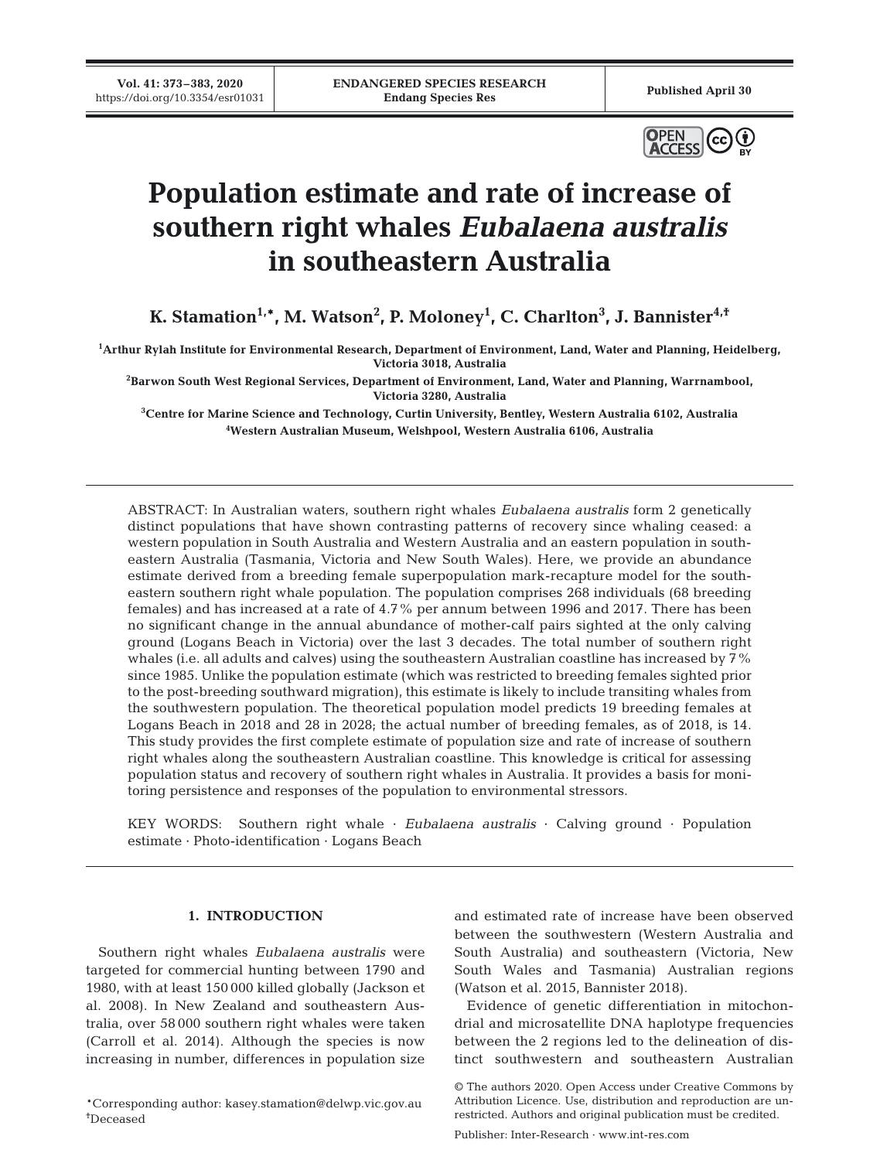

# **Population estimate and rate of increase of southern right whales** *Eubalaena australis* **in southeastern Australia**

**K. Stamation1,\*, M. Watson2 , P. Moloney1 , C. Charlton3 , J. Bannister4,†**

**1 Arthur Rylah Institute for Environmental Research, Department of Environment, Land, Water and Planning, Heidelberg, Victoria 3018, Australia** 

**2 Barwon South West Regional Services, Department of Environment, Land, Water and Planning, Warrnambool, Victoria 3280, Australia** 

**3 Centre for Marine Science and Technology, Curtin University, Bentley, Western Australia 6102, Australia 4 Western Australian Museum, Welshpool, Western Australia 6106, Australia** 

ABSTRACT: In Australian waters, southern right whales *Eubalaena australis* form 2 genetically distinct populations that have shown contrasting patterns of recovery since whaling ceased: a western population in South Australia and Western Australia and an eastern population in southeastern Australia (Tasmania, Victoria and New South Wales). Here, we provide an abundance estimate derived from a breeding female superpopulation mark-recapture model for the southeastern southern right whale population. The population comprises 268 individuals (68 breeding females) and has increased at a rate of 4.7% per annum between 1996 and 2017. There has been no significant change in the annual abundance of mother-calf pairs sighted at the only calving ground (Logans Beach in Victoria) over the last 3 decades. The total number of southern right whales (i.e. all adults and calves) using the southeastern Australian coastline has increased by 7% since 1985. Unlike the population estimate (which was restricted to breeding females sighted prior to the post-breeding southward migration), this estimate is likely to include transiting whales from the southwestern population. The theoretical population model predicts 19 breeding females at Logans Beach in 2018 and 28 in 2028; the actual number of breeding females, as of 2018, is 14. This study provides the first complete estimate of population size and rate of increase of southern right whales along the southeastern Australian coastline. This knowledge is critical for assessing population status and recovery of southern right whales in Australia. It provides a basis for monitoring persistence and responses of the population to environmental stressors.

KEY WORDS: Southern right whale · *Eubalaena australis* · Calving ground · Population estimate · Photo-identification · Logans Beach

# **1. INTRODUCTION**

Southern right whales *Eubalaena australis* were targeted for commercial hunting between 1790 and 1980, with at least 150 000 killed globally (Jackson et al. 2008). In New Zealand and southeastern Australia, over 58 000 southern right whales were taken (Carroll et al. 2014). Although the species is now increasing in number, differences in population size

and estimated rate of increase have been observed between the southwestern (Western Australia and South Australia) and southeastern (Victoria, New South Wales and Tasmania) Australian regions (Watson et al. 2015, Bannister 2018).

Evidence of genetic differentiation in mitochondrial and microsatellite DNA haplotype frequencies between the 2 regions led to the delineation of distinct southwestern and southeastern Australian

<sup>\*</sup>Corresponding author: kasey.stamation@delwp.vic.gov.au † Deceased

<sup>©</sup> The authors 2020. Open Access under Creative Commons by Attribution Licence. Use, distribution and reproduction are unrestricted. Authors and original publication must be credited.

Publisher: Inter-Research · www.int-res.com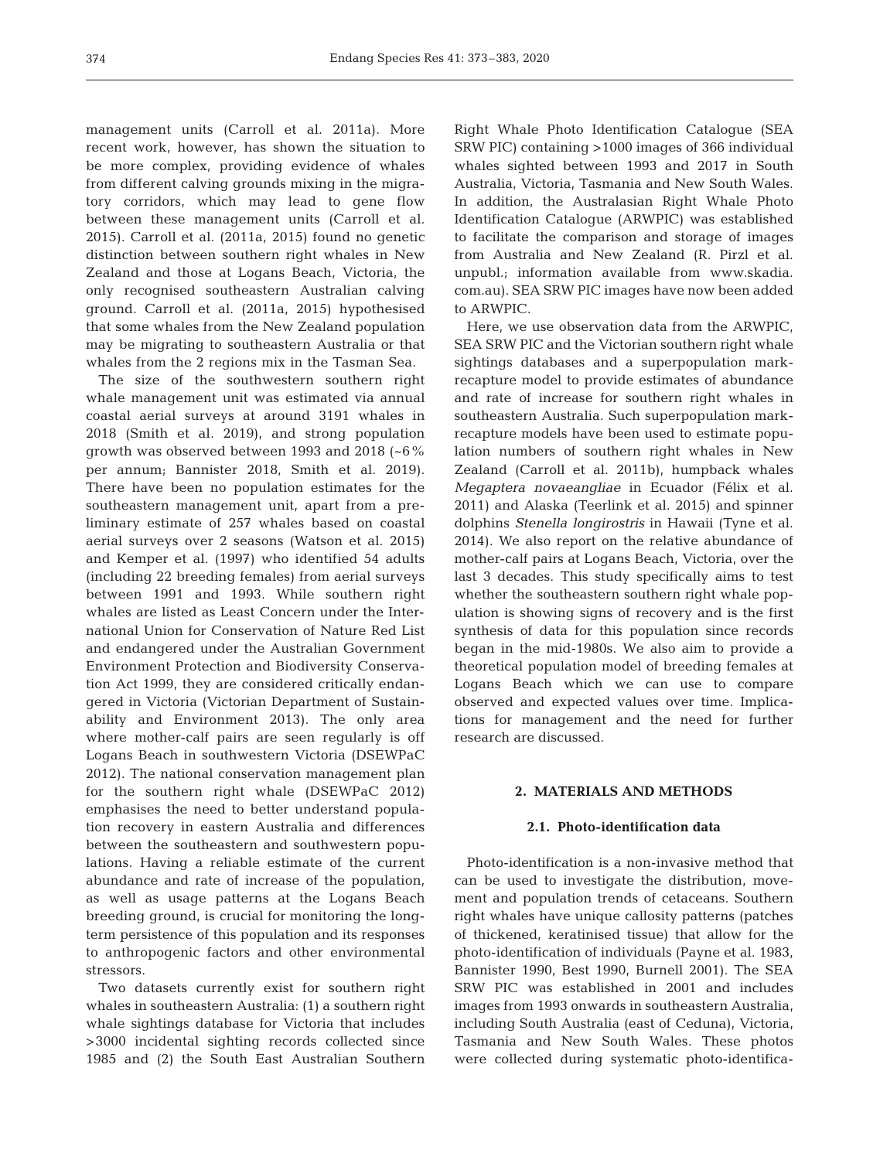management units (Carroll et al. 2011a). More recent work, however, has shown the situation to be more complex, providing evidence of whales from different calving grounds mixing in the migratory corridors, which may lead to gene flow between these management units (Carroll et al. 2015). Carroll et al. (2011a, 2015) found no genetic distinction between southern right whales in New Zealand and those at Logans Beach, Victoria, the only recognised southeastern Australian calving ground. Carroll et al. (2011a, 2015) hypothesised that some whales from the New Zealand population may be migrating to southeastern Australia or that whales from the 2 regions mix in the Tasman Sea.

The size of the southwestern southern right whale management unit was estimated via annual coastal aerial surveys at around 3191 whales in 2018 (Smith et al. 2019), and strong population growth was observed between 1993 and 2018 (~6% per annum; Bannister 2018, Smith et al. 2019). There have been no population estimates for the southeastern management unit, apart from a preliminary estimate of 257 whales based on coastal aerial surveys over 2 seasons (Watson et al. 2015) and Kemper et al. (1997) who identified 54 adults (including 22 breeding females) from aerial surveys between 1991 and 1993. While southern right whales are listed as Least Concern under the International Union for Conservation of Nature Red List and endangered under the Australian Government Environment Protection and Biodiversity Conservation Act 1999, they are considered critically endangered in Victoria (Victorian Department of Sustainability and Environment 2013). The only area where mother-calf pairs are seen regularly is off Logans Beach in southwestern Victoria (DSEWPaC 2012). The national conservation management plan for the southern right whale (DSEWPaC 2012) emphasises the need to better understand population recovery in eastern Australia and differences between the southeastern and southwestern populations. Having a reliable estimate of the current abundance and rate of increase of the population, as well as usage patterns at the Logans Beach breeding ground, is crucial for monitoring the longterm persistence of this population and its responses to anthropogenic factors and other environmental stressors.

Two datasets currently exist for southern right whales in southeastern Australia: (1) a southern right whale sightings database for Victoria that includes >3000 incidental sighting records collected since 1985 and (2) the South East Australian Southern Right Whale Photo Identification Catalogue (SEA SRW PIC) containing >1000 images of 366 individual whales sighted between 1993 and 2017 in South Australia, Victoria, Tasmania and New South Wales. In addition, the Australasian Right Whale Photo Identification Catalogue (ARWPIC) was established to facilitate the comparison and storage of images from Australia and New Zealand (R. Pirzl et al. unpubl.; information available from www.skadia. com. au). SEA SRW PIC images have now been added to ARWPIC.

Here, we use observation data from the ARWPIC, SEA SRW PIC and the Victorian southern right whale sightings databases and a superpopulation markrecapture model to provide estimates of abundance and rate of increase for southern right whales in southeastern Australia. Such superpopulation markrecapture models have been used to estimate population numbers of southern right whales in New Zealand (Carroll et al. 2011b), humpback whales *Megaptera novaeangliae* in Ecuador (Félix et al. 2011) and Alaska (Teerlink et al. 2015) and spinner dolphins *Stenella longirostris* in Hawaii (Tyne et al. 2014). We also report on the relative abundance of mother-calf pairs at Logans Beach, Victoria, over the last 3 decades. This study specifically aims to test whether the southeastern southern right whale population is showing signs of recovery and is the first synthesis of data for this population since records began in the mid-1980s. We also aim to provide a theoretical population model of breeding females at Logans Beach which we can use to compare observed and expected values over time. Implications for management and the need for further research are discussed.

# **2. MATERIALS AND METHODS**

## **2.1. Photo-identification data**

Photo-identification is a non-invasive method that can be used to investigate the distribution, movement and population trends of cetaceans. Southern right whales have unique callosity patterns (patches of thickened, keratinised tissue) that allow for the photo-identification of individuals (Payne et al. 1983, Bannister 1990, Best 1990, Burnell 2001). The SEA SRW PIC was established in 2001 and includes images from 1993 onwards in southeastern Australia, including South Australia (east of Ceduna), Victoria, Tasmania and New South Wales. These photos were collected during systematic photo-identifica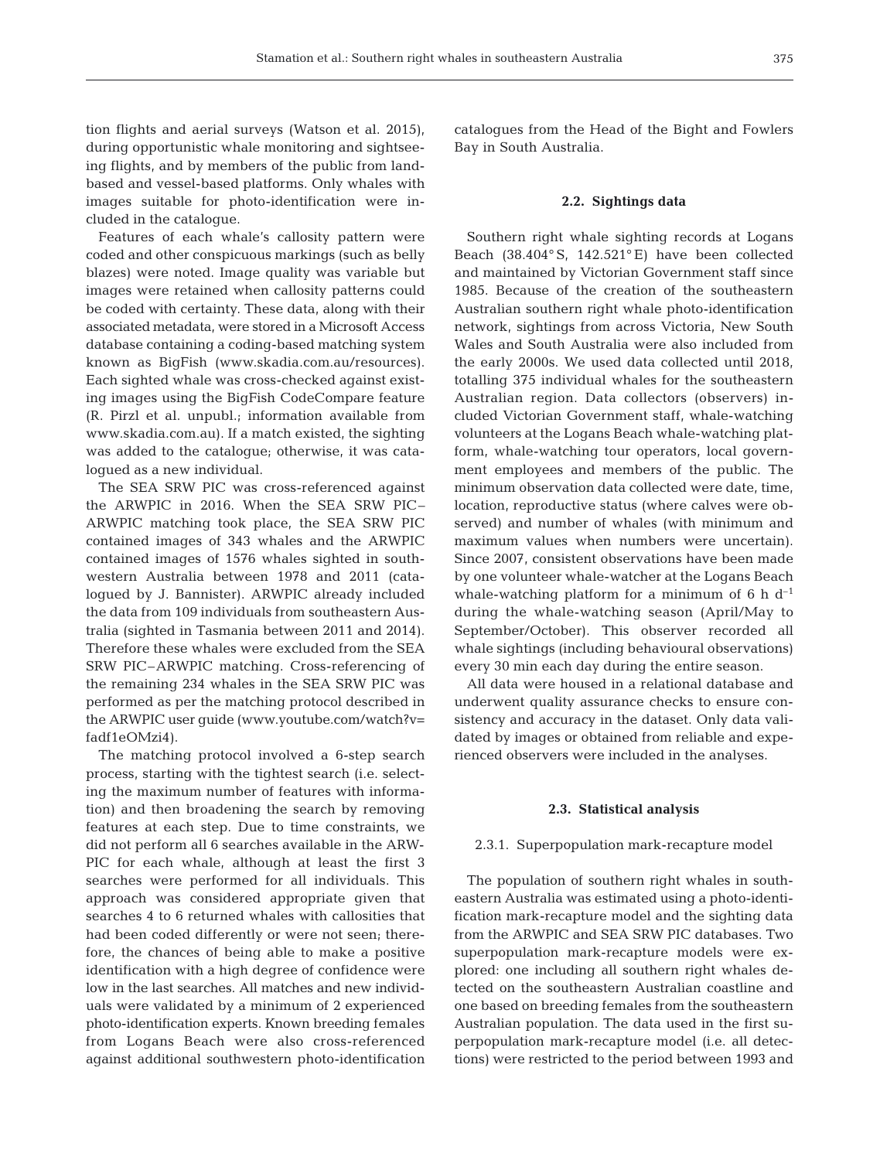tion flights and aerial surveys (Watson et al. 2015), during opportunistic whale monitoring and sightseeing flights, and by members of the public from landbased and vessel-based platforms. Only whales with images suitable for photo-identification were included in the catalogue.

Features of each whale's callosity pattern were coded and other conspicuous markings (such as belly blazes) were noted. Image quality was variable but images were retained when callosity patterns could be coded with certainty. These data, along with their associated metadata, were stored in a Microsoft Access database containing a coding-based matching system known as BigFish (www.skadia.com.au/resources). Each sighted whale was cross-checked against existing images using the BigFish CodeCompare feature (R. Pirzl et al. unpubl.; information available from www. skadia. com. au). If a match existed, the sighting was added to the catalogue; otherwise, it was catalogued as a new individual.

The SEA SRW PIC was cross-referenced against the ARWPIC in 2016. When the SEA SRW PIC– ARWPIC matching took place, the SEA SRW PIC contained images of 343 whales and the ARWPIC contained images of 1576 whales sighted in southwestern Australia between 1978 and 2011 (catalogued by J. Bannister). ARWPIC already included the data from 109 individuals from southeastern Australia (sighted in Tasmania between 2011 and 2014). Therefore these whales were excluded from the SEA SRW PIC–ARWPIC matching. Cross-referencing of the remaining 234 whales in the SEA SRW PIC was performed as per the matching protocol described in the ARWPIC user guide (www.youtube.com/watch?v= fadf1eOMzi4).

The matching protocol involved a 6-step search process, starting with the tightest search (i.e. selecting the maximum number of features with information) and then broadening the search by removing features at each step. Due to time constraints, we did not perform all 6 searches available in the ARW-PIC for each whale, although at least the first 3 searches were performed for all individuals. This approach was considered appropriate given that searches 4 to 6 returned whales with callosities that had been coded differently or were not seen; therefore, the chances of being able to make a positive identification with a high degree of confidence were low in the last searches. All matches and new individuals were validated by a minimum of 2 experienced photo-identification experts. Known breeding females from Logans Beach were also cross-referenced against additional southwestern photo-identification catalogues from the Head of the Bight and Fowlers Bay in South Australia.

## **2.2. Sightings data**

Southern right whale sighting records at Logans Beach (38.404° S, 142.521° E) have been collected and maintained by Victorian Government staff since 1985. Because of the creation of the southeastern Australian southern right whale photo-identification network, sightings from across Victoria, New South Wales and South Australia were also included from the early 2000s. We used data collected until 2018, totalling 375 individual whales for the southeastern Australian region. Data collectors (observers) in cluded Victorian Government staff, whale-watching volunteers at the Logans Beach whale-watching platform, whale-watching tour operators, local government employees and members of the public. The minimum observation data collected were date, time, location, reproductive status (where calves were observed) and number of whales (with minimum and maximum values when numbers were uncertain). Since 2007, consistent observations have been made by one volunteer whale-watcher at the Logans Beach whale-watching platform for a minimum of 6 h  $d^{-1}$ during the whale-watching season (April/May to September/October). This observer recorded all whale sightings (including behavioural observations) every 30 min each day during the entire season.

All data were housed in a relational database and underwent quality assurance checks to ensure consistency and accuracy in the dataset. Only data validated by images or obtained from reliable and experienced observers were included in the analyses.

#### **2.3. Statistical analysis**

## 2.3.1. Superpopulation mark-recapture model

The population of southern right whales in southeastern Australia was estimated using a photo-identification mark-recapture model and the sighting data from the ARWPIC and SEA SRW PIC databases. Two superpopulation mark-recapture models were explored: one including all southern right whales detected on the southeastern Australian coastline and one based on breeding females from the southeastern Australian population. The data used in the first superpopulation mark-recapture model (i.e. all detections) were restricted to the period between 1993 and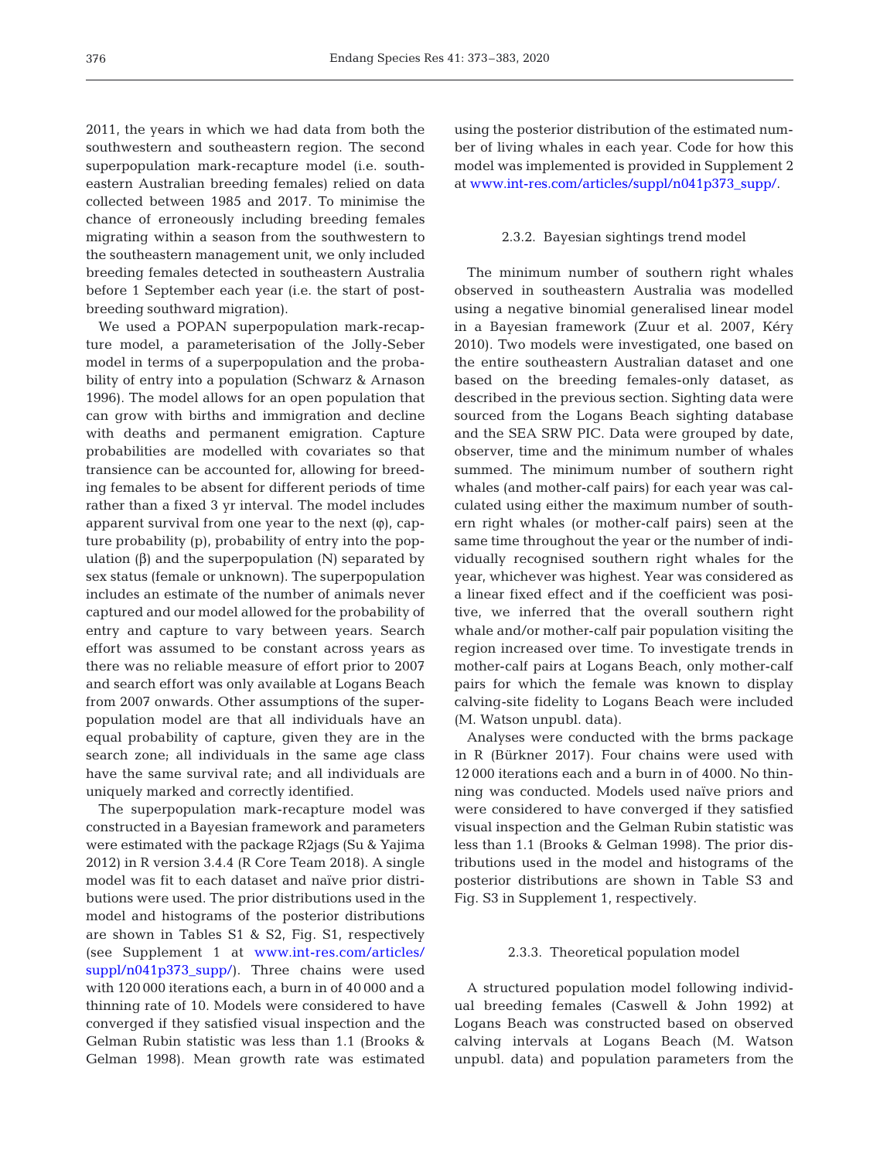2011, the years in which we had data from both the southwestern and southeastern region. The second superpopulation mark-recapture model (i.e. southeastern Australian breeding females) relied on data collected between 1985 and 2017. To minimise the chance of erroneously including breeding females migrating within a season from the southwestern to the southeastern management unit, we only included breeding females detected in southeastern Australia before 1 September each year (i.e. the start of postbreeding southward migration).

We used a POPAN superpopulation mark-recapture model, a parameterisation of the Jolly-Seber model in terms of a superpopulation and the probability of entry into a population (Schwarz & Arnason 1996). The model allows for an open population that can grow with births and immigration and decline with deaths and permanent emigration. Capture probabilities are modelled with covariates so that transience can be accounted for, allowing for breeding females to be absent for different periods of time rather than a fixed 3 yr interval. The model includes apparent survival from one year to the next  $(\varphi)$ , capture probability (p), probability of entry into the population  $(β)$  and the superpopulation  $(N)$  separated by sex status (female or unknown). The superpopulation includes an estimate of the number of animals never captured and our model allowed for the probability of entry and capture to vary between years. Search effort was assumed to be constant across years as there was no reliable measure of effort prior to 2007 and search effort was only available at Logans Beach from 2007 onwards. Other assumptions of the superpopulation model are that all individuals have an equal probability of capture, given they are in the search zone; all individuals in the same age class have the same survival rate; and all individuals are uniquely marked and correctly identified.

The superpopulation mark-recapture model was constructed in a Bayesian framework and parameters were estimated with the package R2jags (Su & Yajima 2012) in R version 3.4.4 (R Core Team 2018). A single model was fit to each dataset and naïve prior distributions were used. The prior distributions used in the model and histograms of the posterior distributions are shown in Tables S1 & S2, Fig. S1, respectively (see Supplement 1 at [www.int-res.com/articles/](https://www.int-res.com/articles/suppl/n041p373_supp/) suppl/n041p373\_supp/). Three chains were used with 120 000 iterations each, a burn in of 40 000 and a thinning rate of 10. Models were considered to have converged if they satisfied visual inspection and the Gelman Rubin statistic was less than 1.1 (Brooks & Gelman 1998). Mean growth rate was estimated

using the posterior distribution of the estimated number of living whales in each year. Code for how this model was implemented is provided in Supplement 2 at www.int-res.com/articles/suppl/n041p373\_supp/.

#### 2.3.2. Bayesian sightings trend model

The minimum number of southern right whales observed in southeastern Australia was modelled using a negative binomial generalised linear model in a Bayesian framework (Zuur et al. 2007, Kéry 2010). Two models were investigated, one based on the entire southeastern Australian dataset and one based on the breeding females-only dataset, as described in the previous section. Sighting data were sourced from the Logans Beach sighting database and the SEA SRW PIC. Data were grouped by date, observer, time and the minimum number of whales summed. The minimum number of southern right whales (and mother-calf pairs) for each year was calculated using either the maximum number of southern right whales (or mother-calf pairs) seen at the same time throughout the year or the number of individually recognised southern right whales for the year, whichever was highest. Year was considered as a linear fixed effect and if the coefficient was positive, we inferred that the overall southern right whale and/or mother-calf pair population visiting the region increased over time. To investigate trends in mother-calf pairs at Logans Beach, only mother-calf pairs for which the female was known to display calving-site fidelity to Logans Beach were included (M. Watson unpubl. data).

Analyses were conducted with the brms package in R (Bürkner 2017). Four chains were used with 12 000 iterations each and a burn in of 4000. No thinning was conducted. Models used naïve priors and were considered to have converged if they satisfied visual inspection and the Gelman Rubin statistic was less than 1.1 (Brooks & Gelman 1998). The prior distributions used in the model and histograms of the posterior distributions are shown in Table S3 and Fig. S3 in Supplement 1, respectively.

## 2.3.3. Theoretical population model

A structured population model following individual breeding females (Caswell & John 1992) at Logans Beach was constructed based on observed calving intervals at Logans Beach (M. Watson unpubl. data) and population parameters from the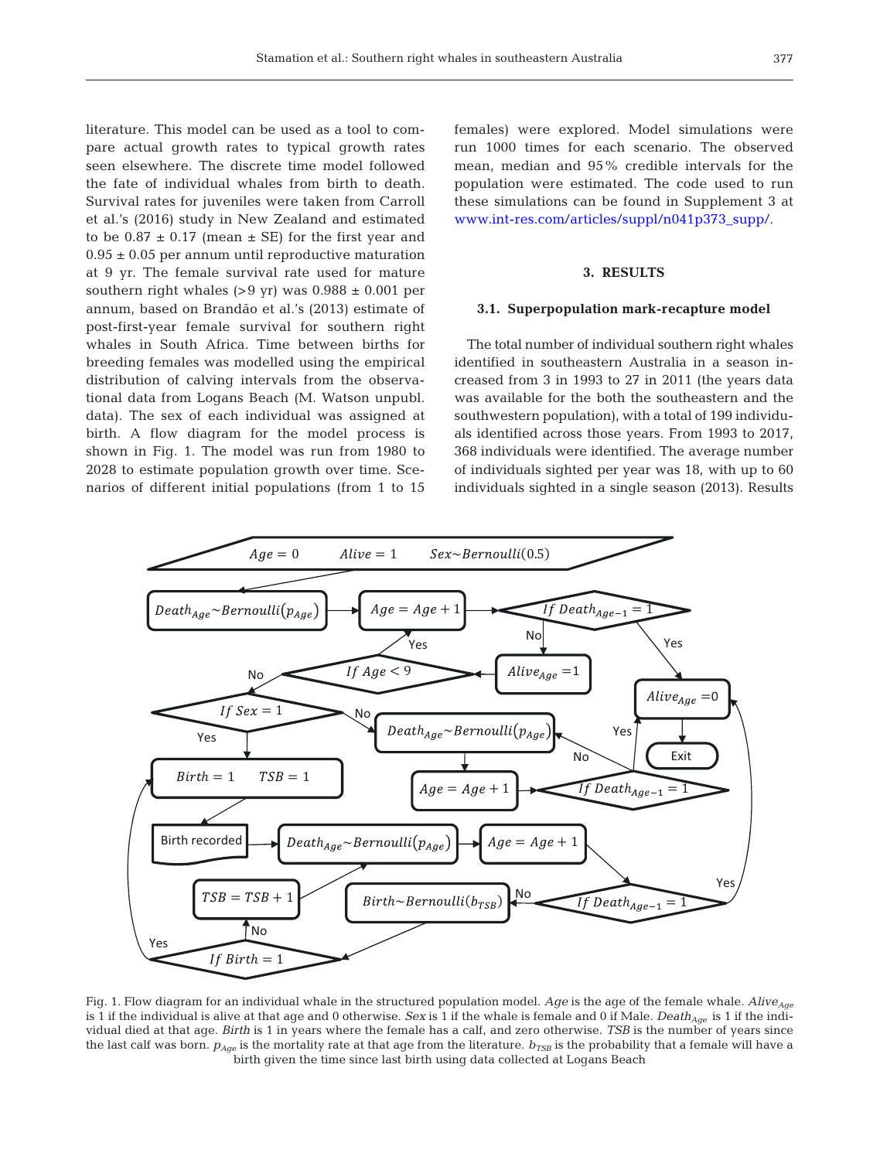literature. This model can be used as a tool to compare actual growth rates to typical growth rates seen elsewhere. The discrete time model followed the fate of individual whales from birth to death. Survival rates for juveniles were taken from Carroll et al.'s (2016) study in New Zealand and estimated to be  $0.87 \pm 0.17$  (mean  $\pm$  SE) for the first year and  $0.95 \pm 0.05$  per annum until reproductive maturation at 9 yr. The female survival rate used for mature southern right whales  $(>9$  yr) was  $0.988 \pm 0.001$  per annum, based on Brandão et al.'s (2013) estimate of post-first-year female survival for southern right whales in South Africa. Time between births for breeding females was modelled using the empirical distribution of calving intervals from the observational data from Logans Beach (M. Watson unpubl. data). The sex of each individual was assigned at birth. A flow diagram for the model process is shown in Fig. 1. The model was run from 1980 to 2028 to estimate population growth over time. Scenarios of different initial populations (from 1 to 15 females) were explored. Model simulations were run 1000 times for each scenario. The observed mean, median and 95% credible intervals for the population were estimated. The code used to run these simulations can be found in Supplement 3 at www.int-res.com/articles/suppl/n041p373\_supp/.

# **3. RESULTS**

## **3.1. Superpopulation mark-recapture model**

The total number of individual southern right whales identified in southeastern Australia in a season increased from 3 in 1993 to 27 in 2011 (the years data was available for the both the southeastern and the southwestern population), with a total of 199 individuals identified across those years. From 1993 to 2017, 368 individuals were identified. The average number of individuals sighted per year was 18, with up to 60 individuals sighted in a single season (2013). Results



Fig. 1. Flow diagram for an individual whale in the structured population model. *Age* is the age of the female whale. *Alive<sub>Age</sub>* is 1 if the individual is alive at that age and 0 otherwise. *Sex* is 1 if the whale is female and 0 if Male. *Death<sub>Age</sub>* is 1 if the individual died at that age. *Birth* is 1 in years where the female has a calf, and zero otherwise. *TSB* is the number of years since the last calf was born.  $p_{Age}$  is the mortality rate at that age from the literature.  $b_{TSB}$  is the probability that a female will have a birth given the time since last birth using data collected at Logans Beach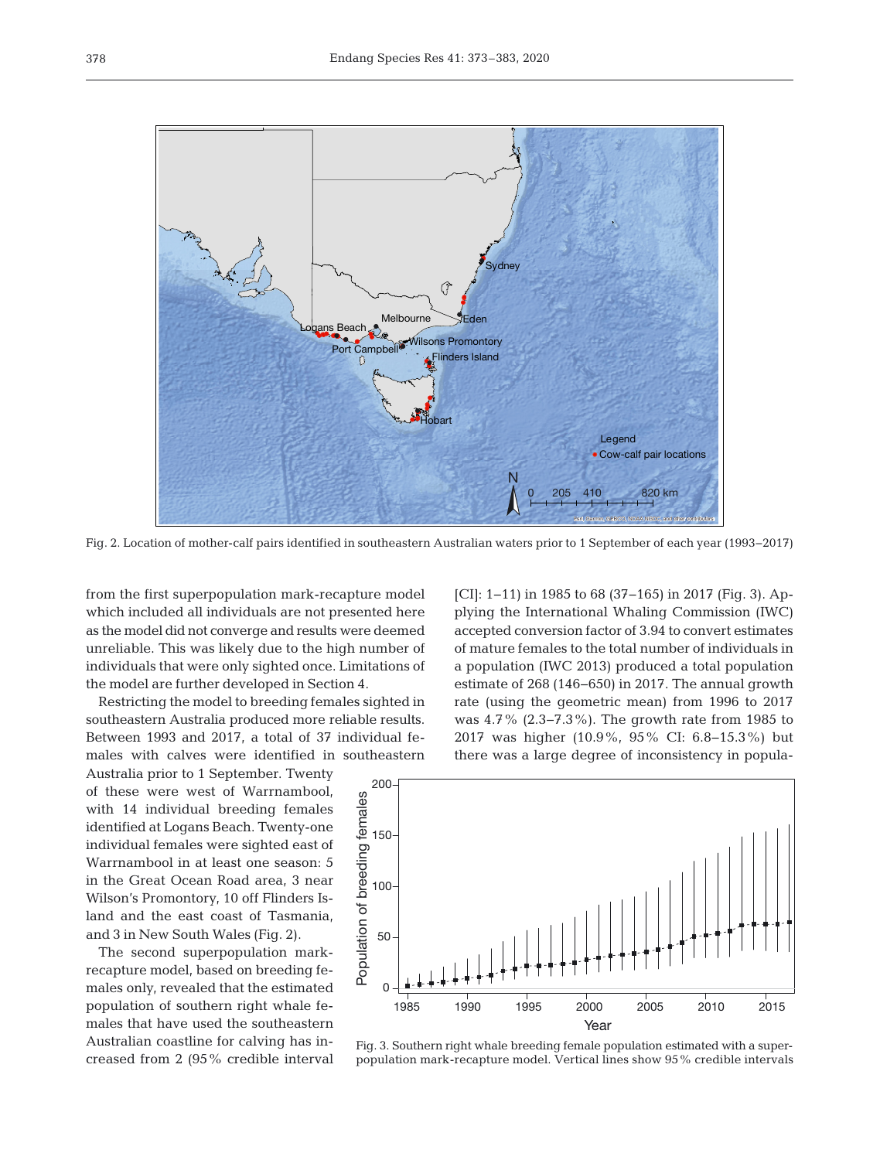

Fig. 2. Location of mother-calf pairs identified in southeastern Australian waters prior to 1 September of each year (1993−2017)

from the first superpopulation mark-recapture model which included all individuals are not presented here as the model did not converge and results were deemed unreliable. This was likely due to the high number of individuals that were only sighted once. Limitations of the model are further developed in Section 4.

Restricting the model to breeding females sighted in southeastern Australia produced more reliable results. Between 1993 and 2017, a total of 37 individual females with calves were identified in southeastern

Australia prior to 1 September. Twenty of these were west of Warrnambool, with 14 individual breeding females identified at Logans Beach. Twenty-one individual females were sighted east of Warrnambool in at least one season: 5 in the Great Ocean Road area, 3 near Wilson's Promontory, 10 off Flinders Island and the east coast of Tasmania, and 3 in New South Wales (Fig. 2).

The second superpopulation markrecapture model, based on breeding females only, revealed that the estimated population of southern right whale females that have used the southeastern Australian coastline for calving has increased from 2 (95% credible interval [CI]: 1−11) in 1985 to 68 (37−165) in 2017 (Fig. 3). Applying the International Whaling Commission (IWC) accepted conversion factor of 3.94 to convert estimates of mature females to the total number of individuals in a population (IWC 2013) produced a total population estimate of 268 (146−650) in 2017. The annual growth rate (using the geometric mean) from 1996 to 2017 was 4.7% (2.3−7.3%). The growth rate from 1985 to 2017 was higher (10.9%, 95% CI: 6.8−15.3%) but there was a large degree of inconsistency in popula-



Fig. 3. Southern right whale breeding female population estimated with a superpopulation mark-recapture model. Vertical lines show 95% credible intervals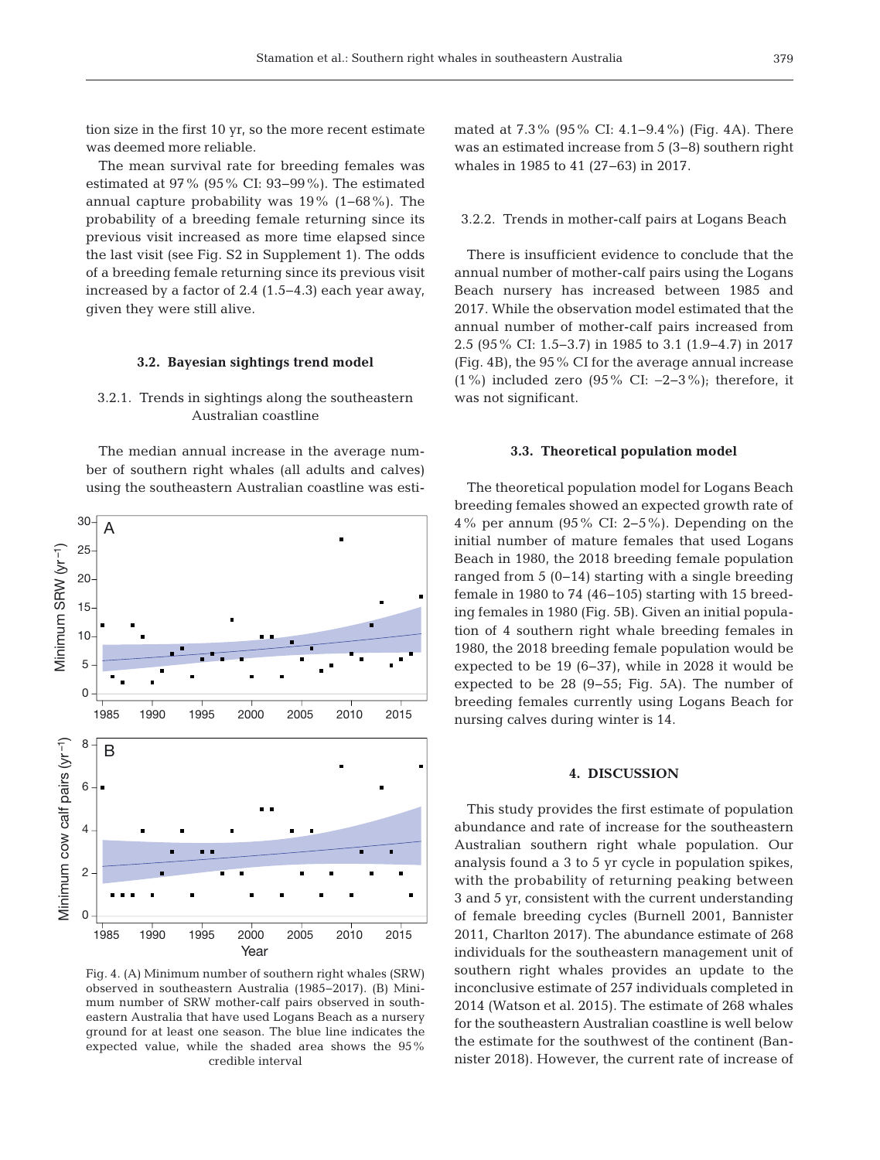tion size in the first 10 yr, so the more recent estimate was deemed more reliable.

The mean survival rate for breeding females was estimated at 97% (95% CI: 93−99%). The estimated annual capture probability was 19% (1−68%). The probability of a breeding female returning since its previous visit increased as more time elapsed since the last visit (see Fig. S2 in Supplement 1). The odds of a breeding female returning since its previous visit increased by a factor of 2.4 (1.5−4.3) each year away, given they were still alive.

## **3.2. Bayesian sightings trend model**

# 3.2.1. Trends in sightings along the southeastern Australian coastline

The median annual increase in the average number of southern right whales (all adults and calves) using the southeastern Australian coastline was esti-



Fig. 4. (A) Minimum number of southern right whales (SRW) observed in southeastern Australia (1985−2017). (B) Minimum number of SRW mother-calf pairs observed in southeastern Australia that have used Logans Beach as a nursery ground for at least one season. The blue line indicates the expected value, while the shaded area shows the 95% credible interval

mated at 7.3% (95% CI: 4.1−9.4%) (Fig. 4A). There was an estimated increase from 5 (3−8) southern right whales in 1985 to 41 (27−63) in 2017.

#### 3.2.2. Trends in mother-calf pairs at Logans Beach

There is insufficient evidence to conclude that the annual number of mother-calf pairs using the Logans Beach nursery has increased between 1985 and 2017. While the observation model estimated that the annual number of mother-calf pairs increased from 2.5 (95% CI: 1.5−3.7) in 1985 to 3.1 (1.9−4.7) in 2017 (Fig. 4B), the 95% CI for the average annual increase (1%) included zero (95% CI: −2−3%); therefore, it was not significant.

## **3.3. Theoretical population model**

The theoretical population model for Logans Beach breeding females showed an expected growth rate of 4% per annum (95% CI: 2−5%). Depending on the initial number of mature females that used Logans Beach in 1980, the 2018 breeding female population ranged from 5 (0−14) starting with a single breeding female in 1980 to 74 (46−105) starting with 15 breeding females in 1980 (Fig. 5B). Given an initial population of 4 southern right whale breeding females in 1980, the 2018 breeding female population would be expected to be 19 (6−37), while in 2028 it would be expected to be 28 (9−55; Fig. 5A). The number of breeding females currently using Logans Beach for nursing calves during winter is 14.

## **4. DISCUSSION**

This study provides the first estimate of population abundance and rate of increase for the southeastern Australian southern right whale population. Our analysis found a 3 to 5 yr cycle in population spikes, with the probability of returning peaking between 3 and 5 yr, consistent with the current understanding of female breeding cycles (Burnell 2001, Bannister 2011, Charlton 2017). The abundance estimate of 268 individuals for the southeastern management unit of southern right whales provides an update to the inconclusive estimate of 257 individuals completed in 2014 (Watson et al. 2015). The estimate of 268 whales for the southeastern Australian coastline is well below the estimate for the southwest of the continent (Bannister 2018). However, the current rate of increase of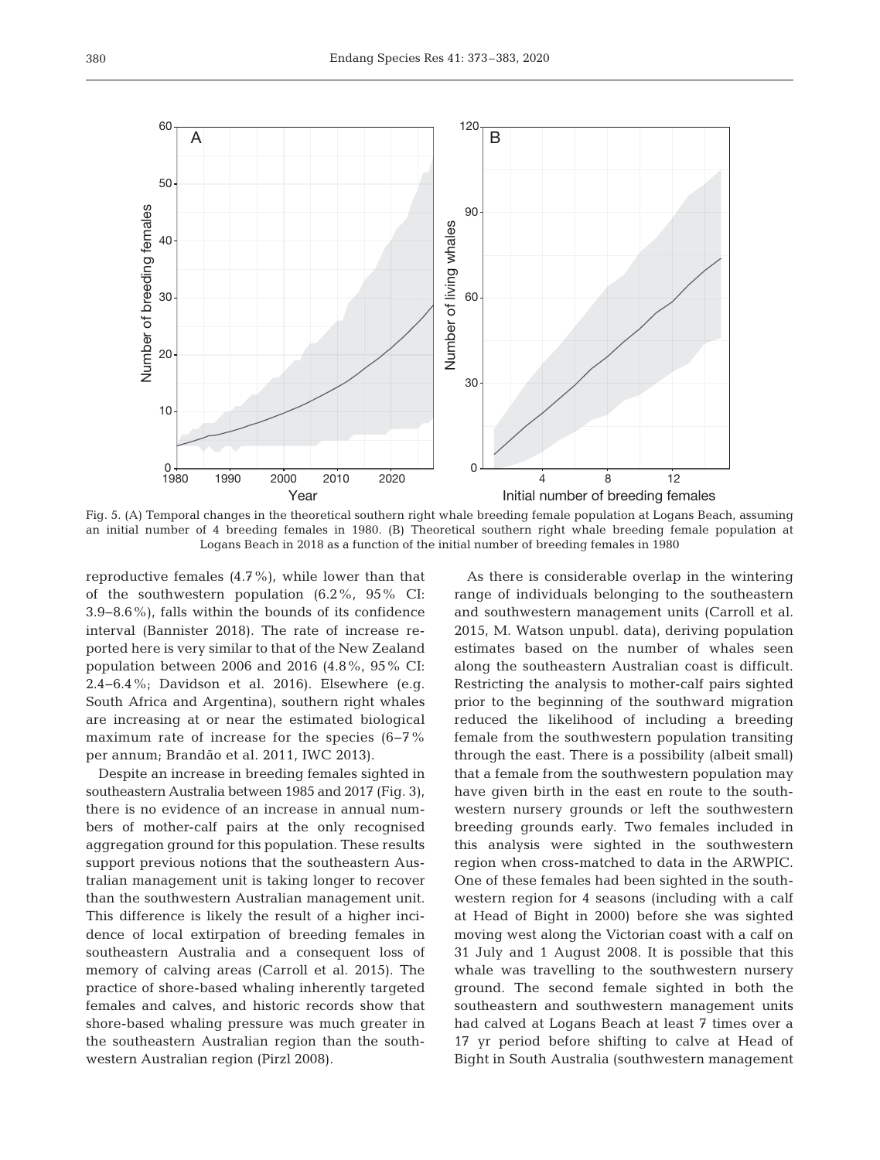

Fig. 5. (A) Temporal changes in the theoretical southern right whale breeding female population at Logans Beach, assuming an initial number of 4 breeding females in 1980. (B) Theoretical southern right whale breeding female population at Logans Beach in 2018 as a function of the initial number of breeding females in 1980

reproductive females (4.7%), while lower than that of the southwestern population (6.2%, 95% CI: 3.9−8.6%), falls within the bounds of its confidence interval (Bannister 2018). The rate of increase reported here is very similar to that of the New Zealand population between 2006 and 2016 (4.8%, 95% CI: 2.4−6.4%; Davidson et al. 2016). Elsewhere (e.g. South Africa and Argentina), southern right whales are increasing at or near the estimated biological maximum rate of increase for the species (6−7% per annum; Brandão et al. 2011, IWC 2013).

Despite an increase in breeding females sighted in southeastern Australia between 1985 and 2017 (Fig. 3), there is no evidence of an increase in annual numbers of mother-calf pairs at the only recognised aggregation ground for this population. These results support previous notions that the southeastern Australian management unit is taking longer to recover than the southwestern Australian management unit. This difference is likely the result of a higher incidence of local extirpation of breeding females in southeastern Australia and a consequent loss of memory of calving areas (Carroll et al. 2015). The practice of shore-based whaling inherently targeted females and calves, and historic records show that shore-based whaling pressure was much greater in the southeastern Australian region than the southwestern Australian region (Pirzl 2008).

As there is considerable overlap in the wintering range of individuals belonging to the southeastern and southwestern management units (Carroll et al. 2015, M. Watson unpubl. data), deriving population estimates based on the number of whales seen along the southeastern Australian coast is difficult. Restricting the analysis to mother-calf pairs sighted prior to the beginning of the southward migration reduced the likelihood of including a breeding female from the southwestern population transiting through the east. There is a possibility (albeit small) that a female from the southwestern population may have given birth in the east en route to the southwestern nursery grounds or left the southwestern breeding grounds early. Two females included in this analysis were sighted in the southwestern region when cross-matched to data in the ARWPIC. One of these females had been sighted in the southwestern region for 4 seasons (including with a calf at Head of Bight in 2000) before she was sighted moving west along the Victorian coast with a calf on 31 July and 1 August 2008. It is possible that this whale was travelling to the southwestern nursery ground. The second female sighted in both the southeastern and southwestern management units had calved at Logans Beach at least 7 times over a 17 yr period before shifting to calve at Head of Bight in South Australia (southwestern management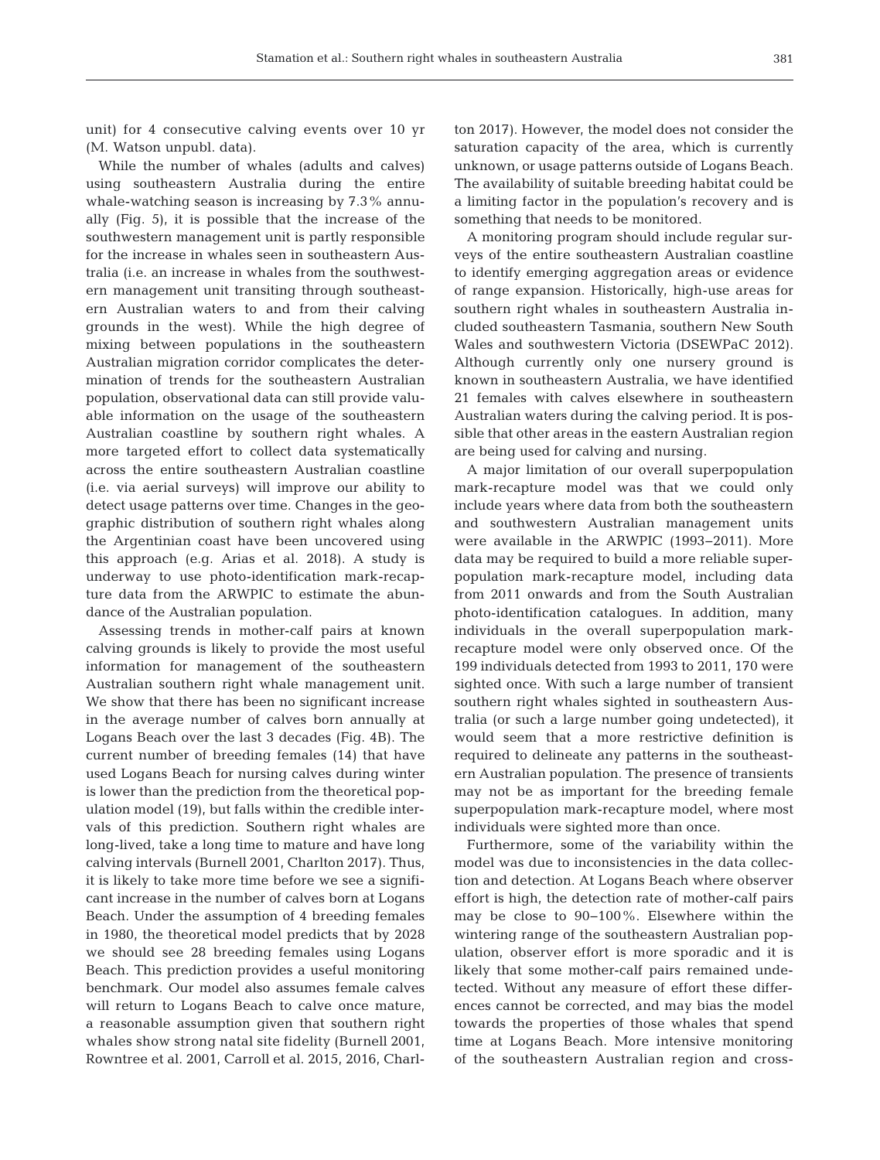unit) for 4 consecutive calving events over 10 yr (M. Watson unpubl. data).

While the number of whales (adults and calves) using southeastern Australia during the entire whale-watching season is increasing by 7.3% annually (Fig. 5), it is possible that the increase of the southwestern management unit is partly responsible for the increase in whales seen in southeastern Australia (i.e. an increase in whales from the southwestern management unit transiting through southeastern Australian waters to and from their calving grounds in the west). While the high degree of mixing between populations in the southeastern Australian migration corridor complicates the determination of trends for the southeastern Australian population, observational data can still provide valuable information on the usage of the southeastern Australian coastline by southern right whales. A more targeted effort to collect data systematically across the entire southeastern Australian coastline (i.e. via aerial surveys) will improve our ability to detect usage patterns over time. Changes in the geographic distribution of southern right whales along the Argentinian coast have been uncovered using this approach (e.g. Arias et al. 2018). A study is underway to use photo-identification mark-recapture data from the ARWPIC to estimate the abundance of the Australian population.

Assessing trends in mother-calf pairs at known calving grounds is likely to provide the most useful information for management of the southeastern Australian southern right whale management unit. We show that there has been no significant increase in the average number of calves born annually at Logans Beach over the last 3 decades (Fig. 4B). The current number of breeding females (14) that have used Logans Beach for nursing calves during winter is lower than the prediction from the theoretical population model (19), but falls within the credible intervals of this prediction. Southern right whales are long-lived, take a long time to mature and have long calving intervals (Burnell 2001, Charlton 2017). Thus, it is likely to take more time before we see a significant increase in the number of calves born at Logans Beach. Under the assumption of 4 breeding females in 1980, the theoretical model predicts that by 2028 we should see 28 breeding females using Logans Beach. This prediction provides a useful monitoring benchmark. Our model also assumes female calves will return to Logans Beach to calve once mature, a reasonable assumption given that southern right whales show strong natal site fidelity (Burnell 2001, Rowntree et al. 2001, Carroll et al. 2015, 2016, Charlton 2017). However, the model does not consider the saturation capacity of the area, which is currently unknown, or usage patterns outside of Logans Beach. The availability of suitable breeding habitat could be a limiting factor in the population's recovery and is something that needs to be monitored.

A monitoring program should include regular surveys of the entire southeastern Australian coastline to identify emerging aggregation areas or evidence of range expansion. Historically, high-use areas for southern right whales in southeastern Australia included southeastern Tasmania, southern New South Wales and southwestern Victoria (DSEWPaC 2012). Although currently only one nursery ground is known in southeastern Australia, we have identified 21 females with calves elsewhere in southeastern Australian waters during the calving period. It is possible that other areas in the eastern Australian region are being used for calving and nursing.

A major limitation of our overall superpopulation mark-recapture model was that we could only include years where data from both the southeastern and southwestern Australian management units were available in the ARWPIC (1993−2011). More data may be required to build a more reliable superpopulation mark-recapture model, including data from 2011 onwards and from the South Australian photo-identification catalogues. In addition, many individuals in the overall superpopulation markrecapture model were only observed once. Of the 199 individuals detected from 1993 to 2011, 170 were sighted once. With such a large number of transient southern right whales sighted in southeastern Australia (or such a large number going undetected), it would seem that a more restrictive definition is required to delineate any patterns in the southeastern Australian population. The presence of transients may not be as important for the breeding female superpopulation mark-recapture model, where most individuals were sighted more than once.

Furthermore, some of the variability within the model was due to inconsistencies in the data collection and detection. At Logans Beach where observer effort is high, the detection rate of mother-calf pairs may be close to 90−100%. Elsewhere within the wintering range of the southeastern Australian population, observer effort is more sporadic and it is likely that some mother-calf pairs remained undetected. Without any measure of effort these differences cannot be corrected, and may bias the model towards the properties of those whales that spend time at Logans Beach. More intensive monitoring of the southeastern Australian region and cross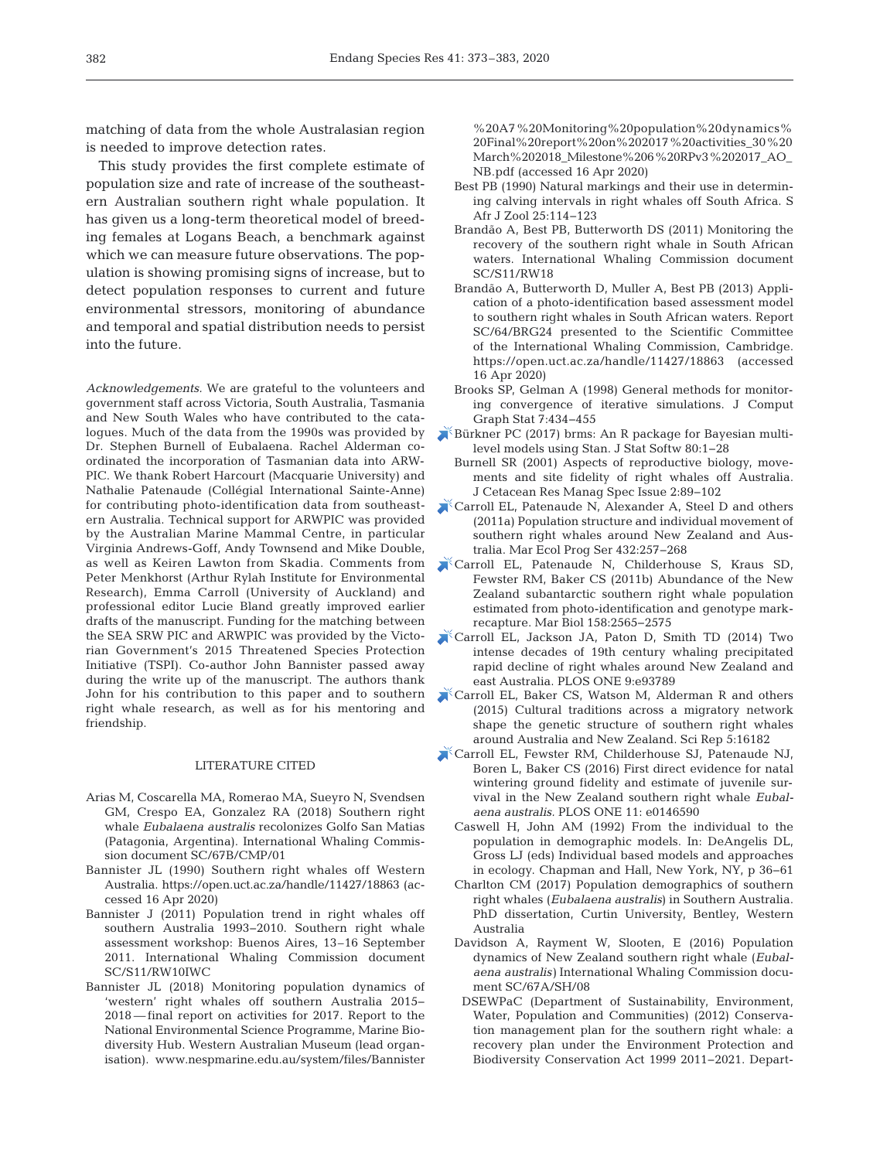matching of data from the whole Australasian region is needed to improve detection rates.

This study provides the first complete estimate of population size and rate of increase of the southeastern Australian southern right whale population. It has given us a long-term theoretical model of breeding females at Logans Beach, a benchmark against which we can measure future observations. The population is showing promising signs of increase, but to detect population responses to current and future environmental stressors, monitoring of abundance and temporal and spatial distribution needs to persist into the future.

*Acknowledgements.* We are grateful to the volunteers and government staff across Victoria, South Australia, Tasmania and New South Wales who have contributed to the catalogues. Much of the data from the 1990s was provided by Dr. Stephen Burnell of Eubalaena. Rachel Alderman coordinated the incorporation of Tasmanian data into ARW-PIC. We thank Robert Harcourt (Macquarie University) and Nathalie Patenaude (Collégial International Sainte-Anne) for contributing photo-identification data from southeastern Australia. Technical support for ARWPIC was provided by the Australian Marine Mammal Centre, in particular Virginia Andrews-Goff, Andy Townsend and Mike Double, as well as Keiren Lawton from Skadia. Comments from Peter Menkhorst (Arthur Rylah Institute for Environmental Research), Emma Carroll (University of Auckland) and professional editor Lucie Bland greatly improved earlier drafts of the manuscript. Funding for the matching between the SEA SRW PIC and ARWPIC was provided by the Victorian Government's 2015 Threatened Species Protection Initiative (TSPI). Co-author John Bannister passed away during the write up of the manuscript. The authors thank John for his contribution to this paper and to southern right whale research, as well as for his mentoring and friendship.

#### LITERATURE CITED

- Arias M, Coscarella MA, Romerao MA, Sueyro N, Svendsen GM, Crespo EA, Gonzalez RA (2018) Southern right whale *Eubalaena australis* recolonizes Golfo San Matias (Patagonia, Argentina). International Whaling Commission document SC/67B/CMP/01
- Bannister JL (1990) Southern right whales off Western Australia. https://open.uct.ac.za/handle/11427/18863 (ac cessed 16 Apr 2020)
- Bannister J (2011) Population trend in right whales off southern Australia 1993−2010. Southern right whale assessment workshop: Buenos Aires, 13–16 September 2011. International Whaling Commission document SC/S11/RW10IWC
- Bannister JL (2018) Monitoring population dynamics of 'western' right whales off southern Australia 2015− 2018 — final report on activities for 2017. Report to the National Environmental Science Programme, Marine Bio diversity Hub. Western Australian Museum (lead organisation). www.nespmarine.edu.au/system/files/Bannister

% 20A7%20Monitoring%20population % 20 dynamics % 20Final%20report%20on%202017%20 activities\_ 30 % 20 March%202018\_Milestone%206%20RPv3%202017\_ AO\_ NB.pdf (accessed 16 Apr 2020)

- Best PB (1990) Natural markings and their use in determining calving intervals in right whales off South Africa. S Afr J Zool 25: 114−123
- Brandão A, Best PB, Butterworth DS (2011) Monitoring the recovery of the southern right whale in South African waters. International Whaling Commission document SC/S11/RW18
- Brandão A, Butterworth D, Muller A, Best PB (2013) Application of a photo-identification based assessment model to southern right whales in South African waters. Report SC/64/BRG24 presented to the Scientific Committee of the International Whaling Commission, Cambridge. https:// open.uct.ac.za/handle/11427/18863 (accessed 16 Apr 2020)
- Brooks SP, Gelman A (1998) General methods for monitoring convergence of iterative simulations. J Comput Graph Stat 7:434-455
- [Bürkner PC \(2017\) brms:An R package for Bayesian multi](https://doi.org/10.18637/jss.v080.i01)level models using Stan. J Stat Softw 80:1-28
	- Burnell SR (2001) Aspects of reproductive biology, movements and site fidelity of right whales off Australia. J Cetacean Res Manag Spec Issue 2: 89−102
- [Carroll EL, Patenaude N, Alexander A, Steel D and others](https://doi.org/10.3354/meps09145) (2011a) Population structure and individual movement of southern right whales around New Zealand and Australia. Mar Ecol Prog Ser 432: 257−268
- [Carroll EL, Patenaude N, Childerhouse S, Kraus SD,](https://doi.org/10.1007/s00227-011-1757-9)  Fewster RM, Baker CS (2011b) Abundance of the New Zealand subantarctic southern right whale population estimated from photo-identification and genotype markrecapture. Mar Biol 158: 2565−2575
- [Carroll EL, Jackson JA, Paton D, Smith TD \(2014\) Two](https://doi.org/10.1371/journal.pone.0093789) intense decades of 19th century whaling precipitated rapid decline of right whales around New Zealand and east Australia. PLOS ONE 9:e93789
- [Carroll EL, Baker CS, Watson M, Alderman R and others](https://doi.org/10.1038/srep16182) (2015) Cultural traditions across a migratory network shape the genetic structure of southern right whales around Australia and New Zealand. Sci Rep 5:16182
- [Carroll EL, Fewster RM, Childerhouse SJ, Patenaude NJ,](https://doi.org/10.1371/journal.pone.0093789) Boren L, Baker CS (2016) First direct evidence for natal wintering ground fidelity and estimate of juvenile survival in the New Zealand southern right whale *Eubalaena australis.* PLOS ONE 11:e0146590
	- Caswell H, John AM (1992) From the individual to the population in demographic models. In: DeAngelis DL, Gross LJ (eds) Individual based models and approaches in ecology. Chapman and Hall, New York, NY, p 36−61
	- Charlton CM (2017) Population demographics of southern right whales (*Eubalaena australis*) in Southern Australia. PhD dissertation, Curtin University, Bentley, Western Australia
	- Davidson A, Rayment W, Slooten, E (2016) Population dynamics of New Zealand southern right whale (*Eubalaena australis)* International Whaling Commission document SC/67A/SH/08
	- DSEWPaC (Department of Sustainability, Environment, Water, Population and Communities) (2012) Conservation management plan for the southern right whale: a recovery plan under the Environment Protection and Biodiversity Conservation Act 1999 2011−2021. Depart-